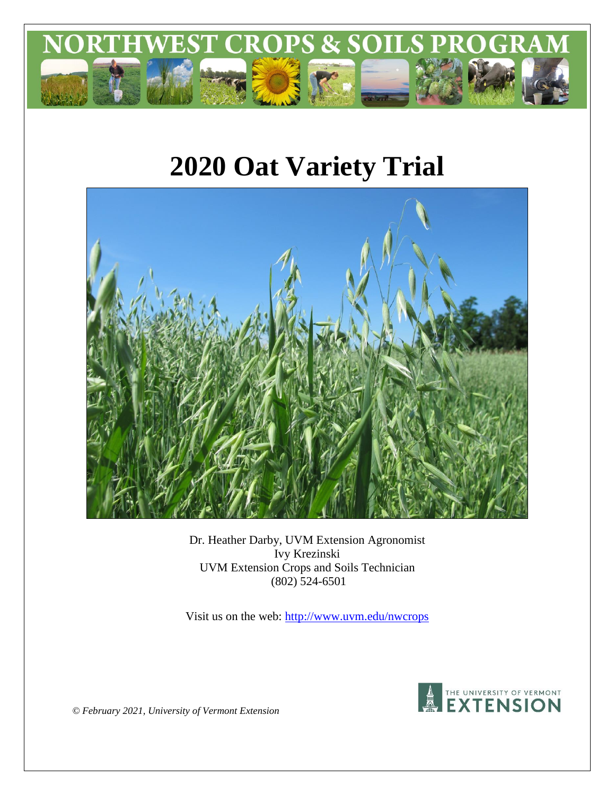

# **2020 Oat Variety Trial**



Dr. Heather Darby, UVM Extension Agronomist Ivy Krezinski UVM Extension Crops and Soils Technician (802) 524-6501

Visit us on the web:<http://www.uvm.edu/nwcrops>



*© February 2021, University of Vermont Extension*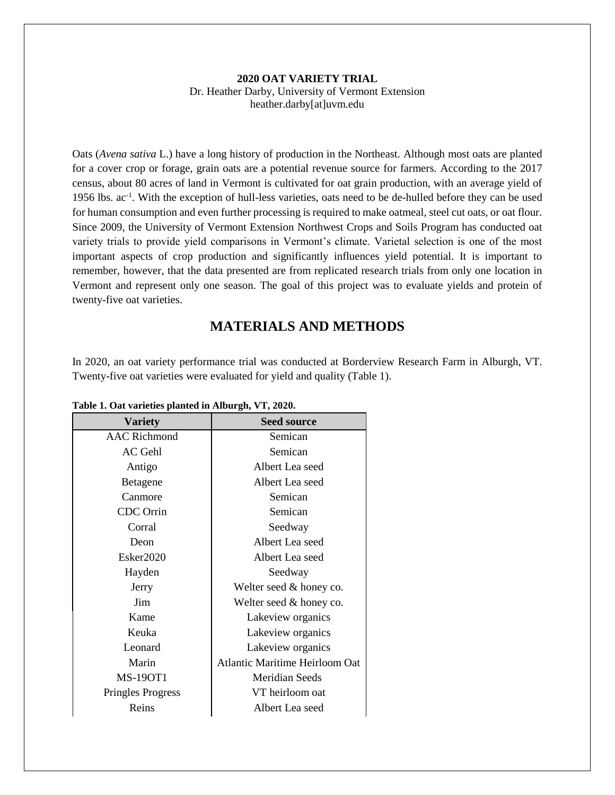#### **2020 OAT VARIETY TRIAL** Dr. Heather Darby, University of Vermont Extension heather.darby[at]uvm.edu

Oats (*Avena sativa* L.) have a long history of production in the Northeast. Although most oats are planted for a cover crop or forage, grain oats are a potential revenue source for farmers. According to the 2017 census, about 80 acres of land in Vermont is cultivated for oat grain production, with an average yield of 1956 lbs. ac<sup>-1</sup>. With the exception of hull-less varieties, oats need to be de-hulled before they can be used for human consumption and even further processing is required to make oatmeal, steel cut oats, or oat flour. Since 2009, the University of Vermont Extension Northwest Crops and Soils Program has conducted oat variety trials to provide yield comparisons in Vermont's climate. Varietal selection is one of the most important aspects of crop production and significantly influences yield potential. It is important to remember, however, that the data presented are from replicated research trials from only one location in Vermont and represent only one season. The goal of this project was to evaluate yields and protein of twenty-five oat varieties.

# **MATERIALS AND METHODS**

In 2020, an oat variety performance trial was conducted at Borderview Research Farm in Alburgh, VT. Twenty-five oat varieties were evaluated for yield and quality (Table 1).

| <b>Variety</b>           | <b>Seed source</b>             |  |
|--------------------------|--------------------------------|--|
| <b>AAC</b> Richmond      | Semican                        |  |
| <b>AC</b> Gehl           | Semican                        |  |
| Antigo                   | Albert Lea seed                |  |
| Betagene                 | Albert Lea seed                |  |
| Canmore                  | Semican                        |  |
| <b>CDC</b> Orrin         | Semican                        |  |
| Corral                   | Seedway                        |  |
| Deon                     | Albert Lea seed                |  |
| Esker2020                | Albert Lea seed                |  |
| Hayden                   | Seedway                        |  |
| Jerry                    | Welter seed & honey co.        |  |
| Jim                      | Welter seed & honey co.        |  |
| Kame                     | Lakeview organics              |  |
| Keuka                    | Lakeview organics              |  |
| Leonard                  | Lakeview organics              |  |
| Marin                    | Atlantic Maritime Heirloom Oat |  |
| <b>MS-190T1</b>          | Meridian Seeds                 |  |
| <b>Pringles Progress</b> | VT heirloom oat                |  |
| Reins                    | Albert Lea seed                |  |

**Table 1. Oat varieties planted in Alburgh, VT, 2020.**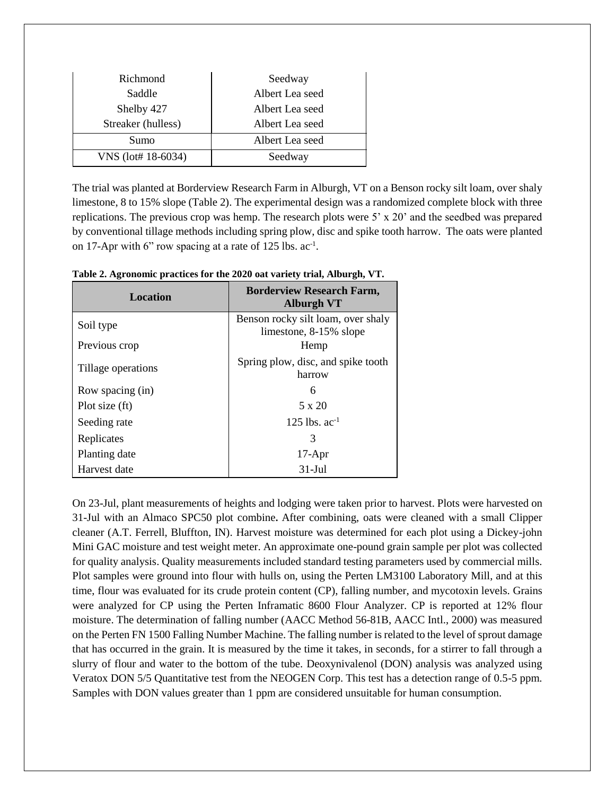| Richmond           | Seedway         |  |  |
|--------------------|-----------------|--|--|
| Saddle             | Albert Lea seed |  |  |
| Shelby 427         | Albert Lea seed |  |  |
| Streaker (hulless) | Albert Lea seed |  |  |
| Sumo               | Albert Lea seed |  |  |
| VNS (lot# 18-6034) | Seedway         |  |  |

The trial was planted at Borderview Research Farm in Alburgh, VT on a Benson rocky silt loam, over shaly limestone, 8 to 15% slope (Table 2). The experimental design was a randomized complete block with three replications. The previous crop was hemp. The research plots were  $5' \times 20'$  and the seedbed was prepared by conventional tillage methods including spring plow, disc and spike tooth harrow. The oats were planted on 17-Apr with 6" row spacing at a rate of 125 lbs.  $ac^{-1}$ .

| <b>Location</b>    | <b>Borderview Research Farm,</b><br><b>Alburgh VT</b>        |  |  |
|--------------------|--------------------------------------------------------------|--|--|
| Soil type          | Benson rocky silt loam, over shaly<br>limestone, 8-15% slope |  |  |
| Previous crop      | Hemp                                                         |  |  |
| Tillage operations | Spring plow, disc, and spike tooth<br>harrow                 |  |  |
| Row spacing (in)   | 6                                                            |  |  |
| Plot size (ft)     | 5 x 20                                                       |  |  |
| Seeding rate       | 125 lbs. $ac^{-1}$                                           |  |  |
| Replicates         | 3                                                            |  |  |
| Planting date      | $17-Apr$                                                     |  |  |
| Harvest date       | $31-Jul$                                                     |  |  |

**Table 2. Agronomic practices for the 2020 oat variety trial, Alburgh, VT.**

On 23-Jul, plant measurements of heights and lodging were taken prior to harvest. Plots were harvested on 31-Jul with an Almaco SPC50 plot combine**.** After combining, oats were cleaned with a small Clipper cleaner (A.T. Ferrell, Bluffton, IN). Harvest moisture was determined for each plot using a Dickey-john Mini GAC moisture and test weight meter. An approximate one-pound grain sample per plot was collected for quality analysis. Quality measurements included standard testing parameters used by commercial mills. Plot samples were ground into flour with hulls on, using the Perten LM3100 Laboratory Mill, and at this time, flour was evaluated for its crude protein content (CP), falling number, and mycotoxin levels. Grains were analyzed for CP using the Perten Inframatic 8600 Flour Analyzer. CP is reported at 12% flour moisture. The determination of falling number (AACC Method 56-81B, AACC Intl., 2000) was measured on the Perten FN 1500 Falling Number Machine. The falling number is related to the level of sprout damage that has occurred in the grain. It is measured by the time it takes, in seconds, for a stirrer to fall through a slurry of flour and water to the bottom of the tube. Deoxynivalenol (DON) analysis was analyzed using Veratox DON 5/5 Quantitative test from the NEOGEN Corp. This test has a detection range of 0.5-5 ppm. Samples with DON values greater than 1 ppm are considered unsuitable for human consumption.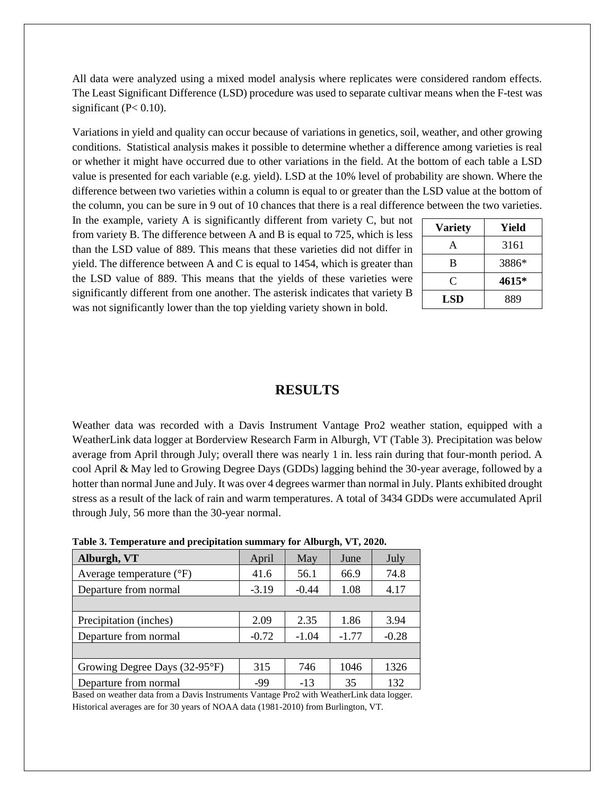All data were analyzed using a mixed model analysis where replicates were considered random effects. The Least Significant Difference (LSD) procedure was used to separate cultivar means when the F-test was significant ( $P < 0.10$ ).

Variations in yield and quality can occur because of variations in genetics, soil, weather, and other growing conditions. Statistical analysis makes it possible to determine whether a difference among varieties is real or whether it might have occurred due to other variations in the field. At the bottom of each table a LSD value is presented for each variable (e.g. yield). LSD at the 10% level of probability are shown. Where the difference between two varieties within a column is equal to or greater than the LSD value at the bottom of the column, you can be sure in 9 out of 10 chances that there is a real difference between the two varieties.

In the example, variety A is significantly different from variety C, but not from variety B. The difference between A and B is equal to 725, which is less than the LSD value of 889. This means that these varieties did not differ in yield. The difference between A and C is equal to 1454, which is greater than the LSD value of 889. This means that the yields of these varieties were significantly different from one another. The asterisk indicates that variety B was not significantly lower than the top yielding variety shown in bold.

| <b>Variety</b> | Yield |
|----------------|-------|
| A              | 3161  |
| B              | 3886* |
| C              | 4615* |
| <b>LSD</b>     | 889   |

### **RESULTS**

Weather data was recorded with a Davis Instrument Vantage Pro2 weather station, equipped with a WeatherLink data logger at Borderview Research Farm in Alburgh, VT (Table 3). Precipitation was below average from April through July; overall there was nearly 1 in. less rain during that four-month period. A cool April & May led to Growing Degree Days (GDDs) lagging behind the 30-year average, followed by a hotter than normal June and July. It was over 4 degrees warmer than normal in July. Plants exhibited drought stress as a result of the lack of rain and warm temperatures. A total of 3434 GDDs were accumulated April through July, 56 more than the 30-year normal.

| Alburgh, VT                         | April   | May     | June    | July    |
|-------------------------------------|---------|---------|---------|---------|
| Average temperature $({}^{\circ}F)$ | 41.6    | 56.1    | 66.9    | 74.8    |
| Departure from normal               | $-3.19$ | $-0.44$ | 1.08    | 4.17    |
|                                     |         |         |         |         |
| Precipitation (inches)              | 2.09    | 2.35    | 1.86    | 3.94    |
| Departure from normal               | $-0.72$ | $-1.04$ | $-1.77$ | $-0.28$ |
|                                     |         |         |         |         |
| Growing Degree Days (32-95°F)       | 315     | 746     | 1046    | 1326    |
| Departure from normal               | -99     | $-13$   | 35      | 132     |

**Table 3. Temperature and precipitation summary for Alburgh, VT, 2020.**

Based on weather data from a Davis Instruments Vantage Pro2 with WeatherLink data logger. Historical averages are for 30 years of NOAA data (1981-2010) from Burlington, VT.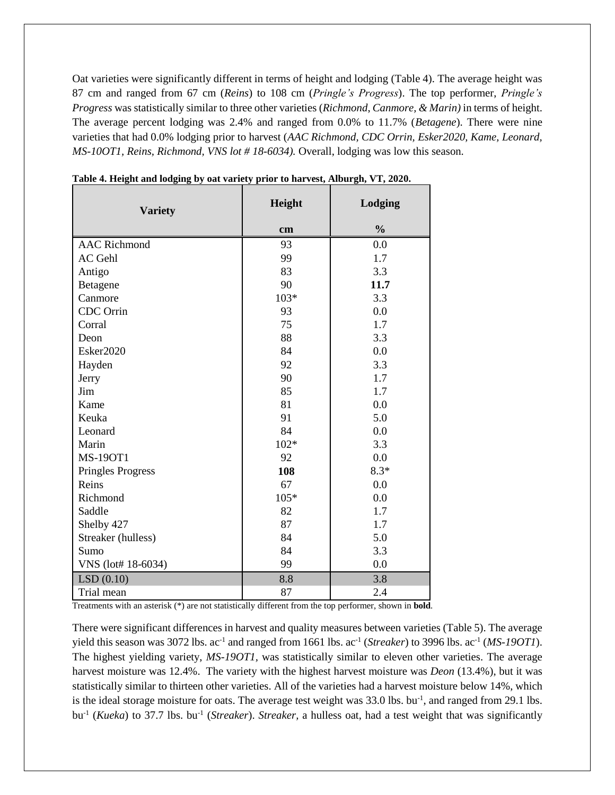Oat varieties were significantly different in terms of height and lodging (Table 4). The average height was 87 cm and ranged from 67 cm (*Reins*) to 108 cm (*Pringle's Progress*). The top performer, *Pringle's Progress* was statistically similar to three other varieties (*Richmond*, *Canmore, & Marin)* in terms of height. The average percent lodging was 2.4% and ranged from 0.0% to 11.7% (*Betagene*). There were nine varieties that had 0.0% lodging prior to harvest (*AAC Richmond, CDC Orrin, Esker2020, Kame, Leonard, MS-10OT1, Reins, Richmond, VNS lot # 18-6034).* Overall, lodging was low this season.

| <b>Variety</b>           | Height | Lodging       |
|--------------------------|--------|---------------|
|                          | cm     | $\frac{0}{0}$ |
| <b>AAC</b> Richmond      | 93     | 0.0           |
| AC Gehl                  | 99     | 1.7           |
| Antigo                   | 83     | 3.3           |
| Betagene                 | 90     | 11.7          |
| Canmore                  | $103*$ | 3.3           |
| CDC Orrin                | 93     | 0.0           |
| Corral                   | 75     | 1.7           |
| Deon                     | 88     | 3.3           |
| Esker2020                | 84     | 0.0           |
| Hayden                   | 92     | 3.3           |
| Jerry                    | 90     | 1.7           |
| Jim                      | 85     | 1.7           |
| Kame                     | 81     | 0.0           |
| Keuka                    | 91     | 5.0           |
| Leonard                  | 84     | 0.0           |
| Marin                    | $102*$ | 3.3           |
| <b>MS-190T1</b>          | 92     | 0.0           |
| <b>Pringles Progress</b> | 108    | $8.3*$        |
| Reins                    | 67     | 0.0           |
| Richmond                 | 105*   | 0.0           |
| Saddle                   | 82     | 1.7           |
| Shelby 427               | 87     | 1.7           |
| Streaker (hulless)       | 84     | 5.0           |
| Sumo                     | 84     | 3.3           |
| VNS (lot# 18-6034)       | 99     | 0.0           |
| LSD(0.10)                | 8.8    | 3.8           |
| Trial mean               | 87     | 2.4           |

**Table 4. Height and lodging by oat variety prior to harvest, Alburgh, VT, 2020.**

Treatments with an asterisk (\*) are not statistically different from the top performer, shown in **bold**.

There were significant differences in harvest and quality measures between varieties (Table 5). The average yield this season was 3072 lbs.  $ac^{-1}$  and ranged from 1661 lbs.  $ac^{-1}$  (*Streaker*) to 3996 lbs.  $ac^{-1}$  (*MS-190T1*). The highest yielding variety, *MS-19OT1,* was statistically similar to eleven other varieties. The average harvest moisture was 12.4%. The variety with the highest harvest moisture was *Deon* (13.4%), but it was statistically similar to thirteen other varieties. All of the varieties had a harvest moisture below 14%, which is the ideal storage moisture for oats. The average test weight was  $33.0$  lbs. bu<sup>-1</sup>, and ranged from 29.1 lbs. bu<sup>-1</sup> (*Kueka*) to 37.7 lbs. bu<sup>-1</sup> (*Streaker*). *Streaker*, a hulless oat, had a test weight that was significantly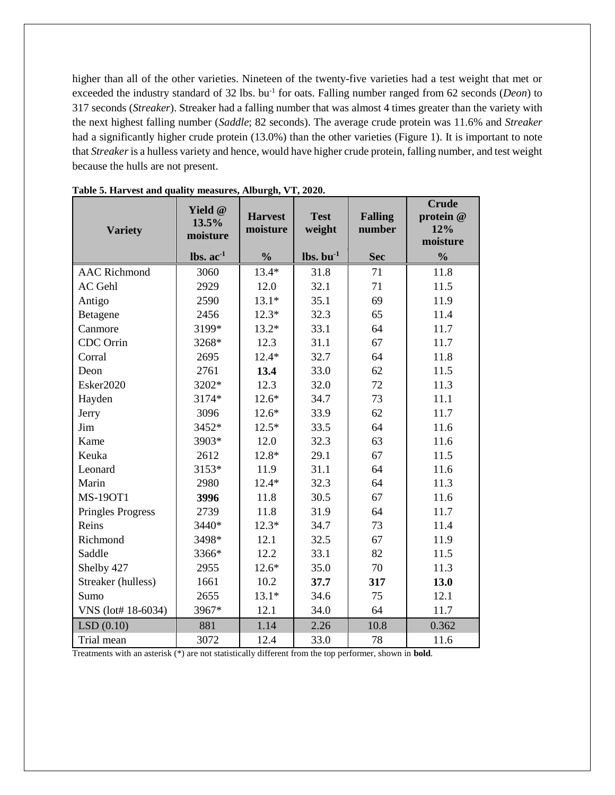higher than all of the other varieties. Nineteen of the twenty-five varieties had a test weight that met or exceeded the industry standard of 32 lbs. bu<sup>-1</sup> for oats. Falling number ranged from 62 seconds (*Deon*) to 317 seconds (*Streaker*). Streaker had a falling number that was almost 4 times greater than the variety with the next highest falling number (*Saddle*; 82 seconds). The average crude protein was 11.6% and *Streaker* had a significantly higher crude protein (13.0%) than the other varieties (Figure 1). It is important to note that *Streaker* is a hulless variety and hence, would have higher crude protein, falling number, and test weight because the hulls are not present.

| <b>Variety</b>           | Yield @<br>13.5%<br>moisture   | <b>Harvest</b><br>moisture | <b>Test</b><br>weight             | <b>Falling</b><br>number | <b>Crude</b><br>protein @<br>12%<br>moisture |
|--------------------------|--------------------------------|----------------------------|-----------------------------------|--------------------------|----------------------------------------------|
|                          | $\text{lbs.}$ ac <sup>-1</sup> | $\frac{0}{0}$              | $\mathbf{lbs.}\ \mathbf{bu}^{-1}$ | <b>Sec</b>               | $\frac{0}{0}$                                |
| <b>AAC Richmond</b>      | 3060                           | $13.4*$                    | 31.8                              | 71                       | 11.8                                         |
| <b>AC</b> Gehl           | 2929                           | 12.0                       | 32.1                              | 71                       | 11.5                                         |
| Antigo                   | 2590                           | $13.1*$                    | 35.1                              | 69                       | 11.9                                         |
| Betagene                 | 2456                           | $12.3*$                    | 32.3                              | 65                       | 11.4                                         |
| Canmore                  | 3199*                          | $13.2*$                    | 33.1                              | 64                       | 11.7                                         |
| CDC Orrin                | 3268*                          | 12.3                       | 31.1                              | 67                       | 11.7                                         |
| Corral                   | 2695                           | $12.4*$                    | 32.7                              | 64                       | 11.8                                         |
| Deon                     | 2761                           | 13.4                       | 33.0                              | 62                       | 11.5                                         |
| Esker2020                | 3202*                          | 12.3                       | 32.0                              | 72                       | 11.3                                         |
| Hayden                   | 3174*                          | $12.6*$                    | 34.7                              | 73                       | 11.1                                         |
| Jerry                    | 3096                           | $12.6*$                    | 33.9                              | 62                       | 11.7                                         |
| Jim                      | 3452*                          | $12.5*$                    | 33.5                              | 64                       | 11.6                                         |
| Kame                     | 3903*                          | 12.0                       | 32.3                              | 63                       | 11.6                                         |
| Keuka                    | 2612                           | 12.8*                      | 29.1                              | 67                       | 11.5                                         |
| Leonard                  | 3153*                          | 11.9                       | 31.1                              | 64                       | 11.6                                         |
| Marin                    | 2980                           | $12.4*$                    | 32.3                              | 64                       | 11.3                                         |
| <b>MS-190T1</b>          | 3996                           | 11.8                       | 30.5                              | 67                       | 11.6                                         |
| <b>Pringles Progress</b> | 2739                           | 11.8                       | 31.9                              | 64                       | 11.7                                         |
| Reins                    | 3440*                          | $12.3*$                    | 34.7                              | 73                       | 11.4                                         |
| Richmond                 | 3498*                          | 12.1                       | 32.5                              | 67                       | 11.9                                         |
| Saddle                   | 3366*                          | 12.2                       | 33.1                              | 82                       | 11.5                                         |
| Shelby 427               | 2955                           | $12.6*$                    | 35.0                              | 70                       | 11.3                                         |
| Streaker (hulless)       | 1661                           | 10.2                       | 37.7                              | 317                      | 13.0                                         |
| Sumo                     | 2655                           | $13.1*$                    | 34.6                              | 75                       | 12.1                                         |
| VNS (lot# 18-6034)       | 3967*                          | 12.1                       | 34.0                              | 64                       | 11.7                                         |
| LSD(0.10)                | 881                            | 1.14                       | 2.26                              | 10.8                     | 0.362                                        |
| Trial mean               | 3072                           | 12.4                       | 33.0                              | 78                       | 11.6                                         |

**Table 5. Harvest and quality measures, Alburgh, VT, 2020.**

Treatments with an asterisk (\*) are not statistically different from the top performer, shown in **bold**.